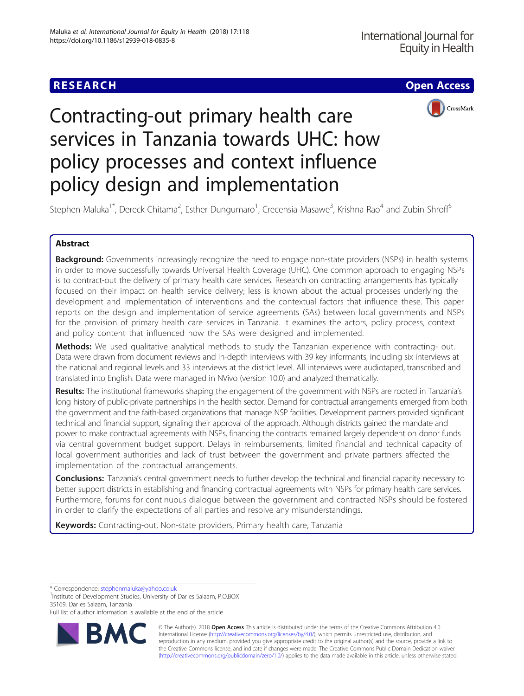

# Contracting-out primary health care services in Tanzania towards UHC: how policy processes and context influence policy design and implementation

Stephen Maluka<sup>1\*</sup>, Dereck Chitama<sup>2</sup>, Esther Dungumaro<sup>1</sup>, Crecensia Masawe<sup>3</sup>, Krishna Rao<sup>4</sup> and Zubin Shroff<sup>5</sup>

# Abstract

Background: Governments increasingly recognize the need to engage non-state providers (NSPs) in health systems in order to move successfully towards Universal Health Coverage (UHC). One common approach to engaging NSPs is to contract-out the delivery of primary health care services. Research on contracting arrangements has typically focused on their impact on health service delivery; less is known about the actual processes underlying the development and implementation of interventions and the contextual factors that influence these. This paper reports on the design and implementation of service agreements (SAs) between local governments and NSPs for the provision of primary health care services in Tanzania. It examines the actors, policy process, context and policy content that influenced how the SAs were designed and implemented.

Methods: We used qualitative analytical methods to study the Tanzanian experience with contracting- out. Data were drawn from document reviews and in-depth interviews with 39 key informants, including six interviews at the national and regional levels and 33 interviews at the district level. All interviews were audiotaped, transcribed and translated into English. Data were managed in NVivo (version 10.0) and analyzed thematically.

Results: The institutional frameworks shaping the engagement of the government with NSPs are rooted in Tanzania's long history of public-private partnerships in the health sector. Demand for contractual arrangements emerged from both the government and the faith-based organizations that manage NSP facilities. Development partners provided significant technical and financial support, signaling their approval of the approach. Although districts gained the mandate and power to make contractual agreements with NSPs, financing the contracts remained largely dependent on donor funds via central government budget support. Delays in reimbursements, limited financial and technical capacity of local government authorities and lack of trust between the government and private partners affected the implementation of the contractual arrangements.

**Conclusions:** Tanzania's central government needs to further develop the technical and financial capacity necessary to better support districts in establishing and financing contractual agreements with NSPs for primary health care services. Furthermore, forums for continuous dialogue between the government and contracted NSPs should be fostered in order to clarify the expectations of all parties and resolve any misunderstandings.

Keywords: Contracting-out, Non-state providers, Primary health care, Tanzania

\* Correspondence: [stephenmaluka@yahoo.co.uk](mailto:stephenmaluka@yahoo.co.uk) <sup>1</sup>

<sup>1</sup> Institute of Development Studies, University of Dar es Salaam, P.O.BOX 35169, Dar es Salaam, Tanzania

Full list of author information is available at the end of the article



© The Author(s). 2018 Open Access This article is distributed under the terms of the Creative Commons Attribution 4.0 International License [\(http://creativecommons.org/licenses/by/4.0/](http://creativecommons.org/licenses/by/4.0/)), which permits unrestricted use, distribution, and reproduction in any medium, provided you give appropriate credit to the original author(s) and the source, provide a link to the Creative Commons license, and indicate if changes were made. The Creative Commons Public Domain Dedication waiver [\(http://creativecommons.org/publicdomain/zero/1.0/](http://creativecommons.org/publicdomain/zero/1.0/)) applies to the data made available in this article, unless otherwise stated.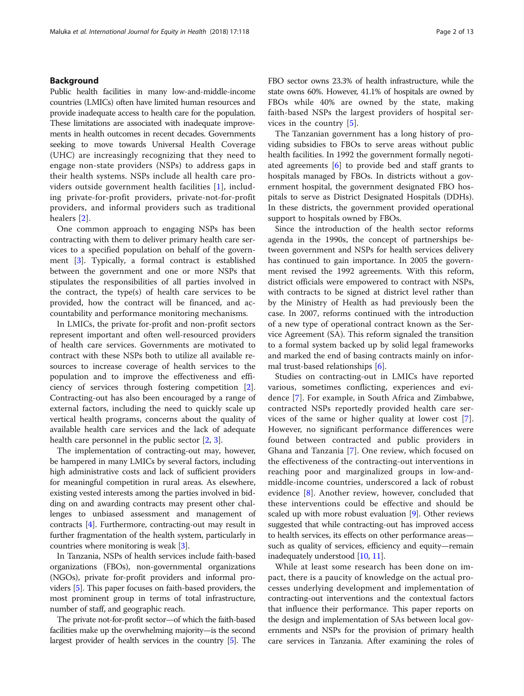# Background

Public health facilities in many low-and-middle-income countries (LMICs) often have limited human resources and provide inadequate access to health care for the population. These limitations are associated with inadequate improvements in health outcomes in recent decades. Governments seeking to move towards Universal Health Coverage (UHC) are increasingly recognizing that they need to engage non-state providers (NSPs) to address gaps in their health systems. NSPs include all health care providers outside government health facilities [[1](#page-11-0)], including private-for-profit providers, private-not-for-profit providers, and informal providers such as traditional healers [[2\]](#page-11-0).

One common approach to engaging NSPs has been contracting with them to deliver primary health care services to a specified population on behalf of the government [\[3](#page-11-0)]. Typically, a formal contract is established between the government and one or more NSPs that stipulates the responsibilities of all parties involved in the contract, the type(s) of health care services to be provided, how the contract will be financed, and accountability and performance monitoring mechanisms.

In LMICs, the private for-profit and non-profit sectors represent important and often well-resourced providers of health care services. Governments are motivated to contract with these NSPs both to utilize all available resources to increase coverage of health services to the population and to improve the effectiveness and efficiency of services through fostering competition [\[2](#page-11-0)]. Contracting-out has also been encouraged by a range of external factors, including the need to quickly scale up vertical health programs, concerns about the quality of available health care services and the lack of adequate health care personnel in the public sector [\[2](#page-11-0), [3](#page-11-0)].

The implementation of contracting-out may, however, be hampered in many LMICs by several factors, including high administrative costs and lack of sufficient providers for meaningful competition in rural areas. As elsewhere, existing vested interests among the parties involved in bidding on and awarding contracts may present other challenges to unbiased assessment and management of contracts [\[4\]](#page-11-0). Furthermore, contracting-out may result in further fragmentation of the health system, particularly in countries where monitoring is weak [[3](#page-11-0)].

In Tanzania, NSPs of health services include faith-based organizations (FBOs), non-governmental organizations (NGOs), private for-profit providers and informal providers [\[5\]](#page-11-0). This paper focuses on faith-based providers, the most prominent group in terms of total infrastructure, number of staff, and geographic reach.

The private not-for-profit sector—of which the faith-based facilities make up the overwhelming majority—is the second largest provider of health services in the country [\[5\]](#page-11-0). The FBO sector owns 23.3% of health infrastructure, while the state owns 60%. However, 41.1% of hospitals are owned by FBOs while 40% are owned by the state, making faith-based NSPs the largest providers of hospital services in the country [\[5](#page-11-0)].

The Tanzanian government has a long history of providing subsidies to FBOs to serve areas without public health facilities. In 1992 the government formally negotiated agreements [\[6](#page-11-0)] to provide bed and staff grants to hospitals managed by FBOs. In districts without a government hospital, the government designated FBO hospitals to serve as District Designated Hospitals (DDHs). In these districts, the government provided operational support to hospitals owned by FBOs.

Since the introduction of the health sector reforms agenda in the 1990s, the concept of partnerships between government and NSPs for health services delivery has continued to gain importance. In 2005 the government revised the 1992 agreements. With this reform, district officials were empowered to contract with NSPs, with contracts to be signed at district level rather than by the Ministry of Health as had previously been the case. In 2007, reforms continued with the introduction of a new type of operational contract known as the Service Agreement (SA). This reform signaled the transition to a formal system backed up by solid legal frameworks and marked the end of basing contracts mainly on informal trust-based relationships [\[6](#page-11-0)].

Studies on contracting-out in LMICs have reported various, sometimes conflicting, experiences and evidence [[7](#page-11-0)]. For example, in South Africa and Zimbabwe, contracted NSPs reportedly provided health care services of the same or higher quality at lower cost [\[7](#page-11-0)]. However, no significant performance differences were found between contracted and public providers in Ghana and Tanzania [[7\]](#page-11-0). One review, which focused on the effectiveness of the contracting-out interventions in reaching poor and marginalized groups in low-andmiddle-income countries, underscored a lack of robust evidence [\[8](#page-11-0)]. Another review, however, concluded that these interventions could be effective and should be scaled up with more robust evaluation [\[9](#page-11-0)]. Other reviews suggested that while contracting-out has improved access to health services, its effects on other performance areas such as quality of services, efficiency and equity—remain inadequately understood [\[10,](#page-11-0) [11\]](#page-11-0).

While at least some research has been done on impact, there is a paucity of knowledge on the actual processes underlying development and implementation of contracting-out interventions and the contextual factors that influence their performance. This paper reports on the design and implementation of SAs between local governments and NSPs for the provision of primary health care services in Tanzania. After examining the roles of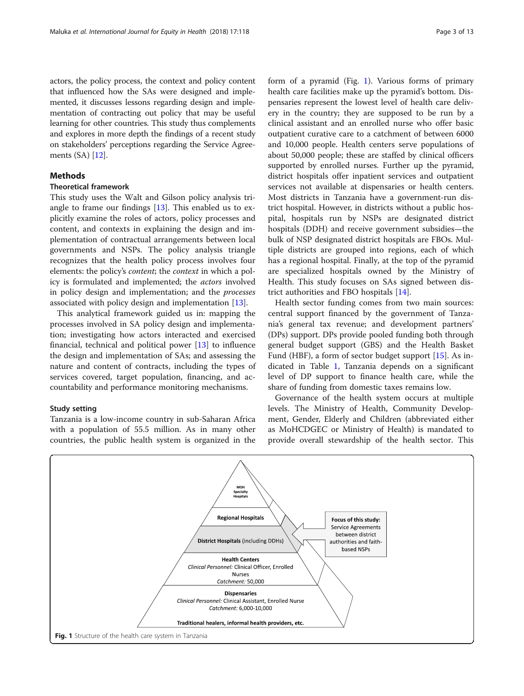actors, the policy process, the context and policy content that influenced how the SAs were designed and implemented, it discusses lessons regarding design and implementation of contracting out policy that may be useful learning for other countries. This study thus complements and explores in more depth the findings of a recent study on stakeholders' perceptions regarding the Service Agreements (SA) [[12](#page-11-0)].

# Methods

# Theoretical framework

This study uses the Walt and Gilson policy analysis triangle to frame our findings [[13\]](#page-11-0). This enabled us to explicitly examine the roles of actors, policy processes and content, and contexts in explaining the design and implementation of contractual arrangements between local governments and NSPs. The policy analysis triangle recognizes that the health policy process involves four elements: the policy's content; the context in which a policy is formulated and implemented; the actors involved in policy design and implementation; and the processes associated with policy design and implementation [[13\]](#page-11-0).

This analytical framework guided us in: mapping the processes involved in SA policy design and implementation; investigating how actors interacted and exercised financial, technical and political power [[13](#page-11-0)] to influence the design and implementation of SAs; and assessing the nature and content of contracts, including the types of services covered, target population, financing, and accountability and performance monitoring mechanisms.

# Study setting

Tanzania is a low-income country in sub-Saharan Africa with a population of 55.5 million. As in many other countries, the public health system is organized in the form of a pyramid (Fig. 1). Various forms of primary health care facilities make up the pyramid's bottom. Dispensaries represent the lowest level of health care delivery in the country; they are supposed to be run by a clinical assistant and an enrolled nurse who offer basic outpatient curative care to a catchment of between 6000 and 10,000 people. Health centers serve populations of about 50,000 people; these are staffed by clinical officers supported by enrolled nurses. Further up the pyramid, district hospitals offer inpatient services and outpatient services not available at dispensaries or health centers. Most districts in Tanzania have a government-run district hospital. However, in districts without a public hospital, hospitals run by NSPs are designated district hospitals (DDH) and receive government subsidies—the bulk of NSP designated district hospitals are FBOs. Mul-

tiple districts are grouped into regions, each of which has a regional hospital. Finally, at the top of the pyramid are specialized hospitals owned by the Ministry of Health. This study focuses on SAs signed between district authorities and FBO hospitals [[14](#page-11-0)].

Health sector funding comes from two main sources: central support financed by the government of Tanzania's general tax revenue; and development partners' (DPs) support. DPs provide pooled funding both through general budget support (GBS) and the Health Basket Fund (HBF), a form of sector budget support [\[15](#page-11-0)]. As indicated in Table [1](#page-3-0), Tanzania depends on a significant level of DP support to finance health care, while the share of funding from domestic taxes remains low.

Governance of the health system occurs at multiple levels. The Ministry of Health, Community Development, Gender, Elderly and Children (abbreviated either as MoHCDGEC or Ministry of Health) is mandated to provide overall stewardship of the health sector. This

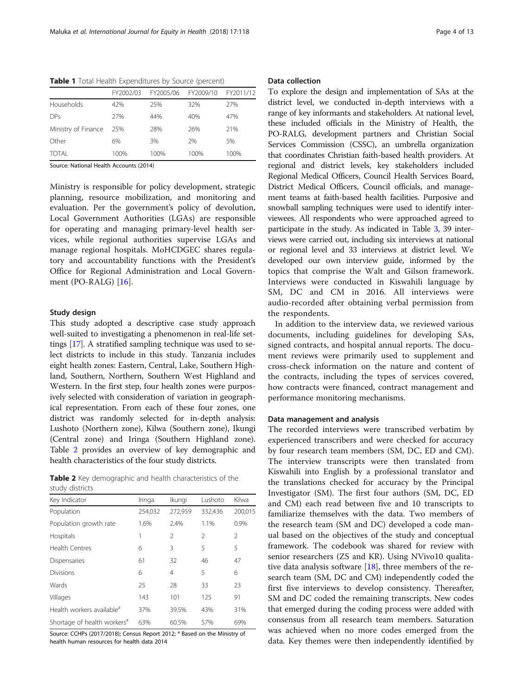<span id="page-3-0"></span>Table 1 Total Health Expenditures by Source (percent)

|                     | FY2002/03 | FY2005/06 | FY2009/10 | FY2011/12 |
|---------------------|-----------|-----------|-----------|-----------|
| Households          | 42%       | 25%       | 32%       | 27%       |
| DPs                 | 27%       | 44%       | 40%       | 47%       |
| Ministry of Finance | 25%       | 28%       | 26%       | 21%       |
| Other               | 6%        | 3%        | 7%        | 5%        |
| TOTAI               | 100%      | 100%      | 100%      | 100%      |

Source: National Health Accounts (2014)

Ministry is responsible for policy development, strategic planning, resource mobilization, and monitoring and evaluation. Per the government's policy of devolution, Local Government Authorities (LGAs) are responsible for operating and managing primary-level health services, while regional authorities supervise LGAs and manage regional hospitals. MoHCDGEC shares regulatory and accountability functions with the President's Office for Regional Administration and Local Government (PO-RALG) [\[16\]](#page-11-0).

#### Study design

This study adopted a descriptive case study approach well-suited to investigating a phenomenon in real-life settings [[17\]](#page-11-0). A stratified sampling technique was used to select districts to include in this study. Tanzania includes eight health zones: Eastern, Central, Lake, Southern Highland, Southern, Northern, Southern West Highland and Western. In the first step, four health zones were purposively selected with consideration of variation in geographical representation. From each of these four zones, one district was randomly selected for in-depth analysis: Lushoto (Northern zone), Kilwa (Southern zone), Ikungi (Central zone) and Iringa (Southern Highland zone). Table 2 provides an overview of key demographic and health characteristics of the four study districts.

Table 2 Key demographic and health characteristics of the study districts

| Key Indicator                           | Iringa  | Ikungi         | Lushoto        | Kilwa          |
|-----------------------------------------|---------|----------------|----------------|----------------|
| Population                              | 254,032 | 272,959        | 332,436        | 200,015        |
| Population growth rate                  | 1.6%    | 2.4%           | 1.1%           | 0.9%           |
| Hospitals                               |         | 2              | $\mathfrak{D}$ | $\mathfrak{D}$ |
| <b>Health Centres</b>                   | 6       | 3              | 5              | 5              |
| Dispensaries                            | 61      | 32             | 46             | 47             |
| <b>Divisions</b>                        | 6       | $\overline{4}$ | 5              | 6              |
| Wards                                   | 25      | 28             | 33             | 23             |
| Villages                                | 143     | 101            | 125            | 91             |
| Health workers available <sup>a</sup>   | 37%     | 39.5%          | 43%            | 31%            |
| Shortage of health workers <sup>a</sup> | 63%     | 60.5%          | 57%            | 69%            |

Source: CCHPs (2017/2018); Census Report 2012; <sup>a</sup> Based on the Ministry of health human resources for health data 2014

# Data collection

To explore the design and implementation of SAs at the district level, we conducted in-depth interviews with a range of key informants and stakeholders. At national level, these included officials in the Ministry of Health, the PO-RALG, development partners and Christian Social Services Commission (CSSC), an umbrella organization that coordinates Christian faith-based health providers. At regional and district levels, key stakeholders included Regional Medical Officers, Council Health Services Board, District Medical Officers, Council officials, and management teams at faith-based health facilities. Purposive and snowball sampling techniques were used to identify interviewees. All respondents who were approached agreed to participate in the study. As indicated in Table [3](#page-4-0), 39 interviews were carried out, including six interviews at national or regional level and 33 interviews at district level. We developed our own interview guide, informed by the topics that comprise the Walt and Gilson framework. Interviews were conducted in Kiswahili language by SM, DC and CM in 2016. All interviews were audio-recorded after obtaining verbal permission from the respondents.

In addition to the interview data, we reviewed various documents, including guidelines for developing SAs, signed contracts, and hospital annual reports. The document reviews were primarily used to supplement and cross-check information on the nature and content of the contracts, including the types of services covered, how contracts were financed, contract management and performance monitoring mechanisms.

# Data management and analysis

The recorded interviews were transcribed verbatim by experienced transcribers and were checked for accuracy by four research team members (SM, DC, ED and CM). The interview transcripts were then translated from Kiswahili into English by a professional translator and the translations checked for accuracy by the Principal Investigator (SM). The first four authors (SM, DC, ED and CM) each read between five and 10 transcripts to familiarize themselves with the data. Two members of the research team (SM and DC) developed a code manual based on the objectives of the study and conceptual framework. The codebook was shared for review with senior researchers (ZS and KR). Using NVivo10 qualitative data analysis software [\[18](#page-11-0)], three members of the research team (SM, DC and CM) independently coded the first five interviews to develop consistency. Thereafter, SM and DC coded the remaining transcripts. New codes that emerged during the coding process were added with consensus from all research team members. Saturation was achieved when no more codes emerged from the data. Key themes were then independently identified by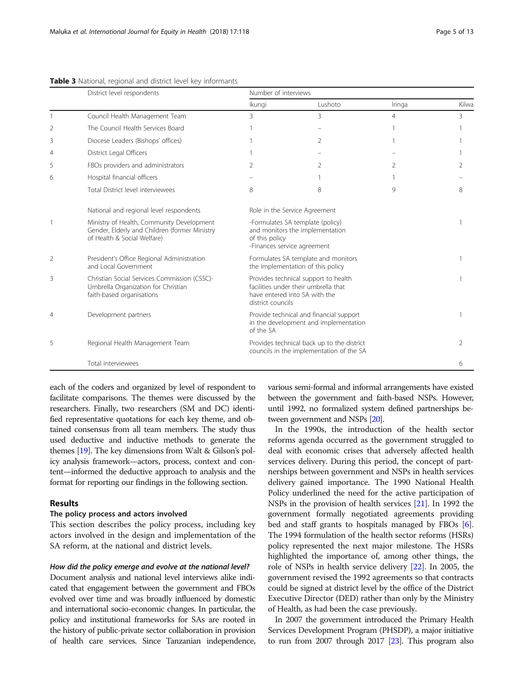|                | District level respondents                                                                                                | Number of interviews                                                                                                               |                               |                |               |  |
|----------------|---------------------------------------------------------------------------------------------------------------------------|------------------------------------------------------------------------------------------------------------------------------------|-------------------------------|----------------|---------------|--|
|                |                                                                                                                           | Ikungi                                                                                                                             | Lushoto                       | Iringa         | Kilwa         |  |
|                | Council Health Management Team                                                                                            | 3                                                                                                                                  | 3                             | $\overline{4}$ | 3             |  |
| $\overline{2}$ | The Council Health Services Board                                                                                         |                                                                                                                                    |                               |                |               |  |
| 3              | Diocese Leaders (Bishops' offices)                                                                                        |                                                                                                                                    | $\mathcal{P}$                 |                |               |  |
| $\overline{4}$ | District Legal Officers                                                                                                   |                                                                                                                                    |                               |                |               |  |
| 5              | FBOs providers and administrators                                                                                         | $\mathcal{P}$                                                                                                                      | $\mathcal{P}$                 | 2              | C.            |  |
| 6              | Hospital financial officers                                                                                               |                                                                                                                                    |                               |                |               |  |
|                | Total District level interviewees                                                                                         | 8                                                                                                                                  | 8                             | 9              | 8             |  |
|                | National and regional level respondents                                                                                   |                                                                                                                                    | Role in the Service Agreement |                |               |  |
|                | Ministry of Health, Community Development<br>Gender, Elderly and Children (former Ministry<br>of Health & Social Welfare) | -Formulates SA template (policy)<br>and monitors the implementation<br>of this policy<br>-Finances service agreement               |                               |                |               |  |
| $\overline{2}$ | President's Office Regional Administration<br>and Local Government                                                        | Formulates SA template and monitors<br>the implementation of this policy                                                           |                               |                |               |  |
| 3              | Christian Social Services Commission (CSSC)-<br>Umbrella Organization for Christian<br>faith-based organisations          | Provides technical support to health<br>facilities under their umbrella that<br>have entered into SA with the<br>district councils |                               |                |               |  |
| 4              | Development partners                                                                                                      | Provide technical and financial support<br>in the development and implementation<br>of the SA                                      |                               |                |               |  |
| 5              | Regional Health Management Team                                                                                           | Provides technical back up to the district<br>councils in the implementation of the SA                                             |                               |                | $\mathcal{P}$ |  |
|                | Total interviewees                                                                                                        |                                                                                                                                    |                               |                | 6             |  |

#### <span id="page-4-0"></span>Table 3 National, regional and district level key informants

each of the coders and organized by level of respondent to facilitate comparisons. The themes were discussed by the researchers. Finally, two researchers (SM and DC) identified representative quotations for each key theme, and obtained consensus from all team members. The study thus used deductive and inductive methods to generate the themes [\[19\]](#page-11-0). The key dimensions from Walt & Gilson's policy analysis framework—actors, process, context and content—informed the deductive approach to analysis and the format for reporting our findings in the following section.

# Results

# The policy process and actors involved

This section describes the policy process, including key actors involved in the design and implementation of the SA reform, at the national and district levels.

# How did the policy emerge and evolve at the national level?

Document analysis and national level interviews alike indicated that engagement between the government and FBOs evolved over time and was broadly influenced by domestic and international socio-economic changes. In particular, the policy and institutional frameworks for SAs are rooted in the history of public-private sector collaboration in provision of health care services. Since Tanzanian independence, various semi-formal and informal arrangements have existed between the government and faith-based NSPs. However, until 1992, no formalized system defined partnerships between government and NSPs [\[20](#page-11-0)].

In the 1990s, the introduction of the health sector reforms agenda occurred as the government struggled to deal with economic crises that adversely affected health services delivery. During this period, the concept of partnerships between government and NSPs in health services delivery gained importance. The 1990 National Health Policy underlined the need for the active participation of NSPs in the provision of health services [\[21](#page-11-0)]. In 1992 the government formally negotiated agreements providing bed and staff grants to hospitals managed by FBOs [[6](#page-11-0)]. The 1994 formulation of the health sector reforms (HSRs) policy represented the next major milestone. The HSRs highlighted the importance of, among other things, the role of NSPs in health service delivery [[22](#page-11-0)]. In 2005, the government revised the 1992 agreements so that contracts could be signed at district level by the office of the District Executive Director (DED) rather than only by the Ministry of Health, as had been the case previously.

In 2007 the government introduced the Primary Health Services Development Program (PHSDP), a major initiative to run from 2007 through 2017 [\[23\]](#page-11-0). This program also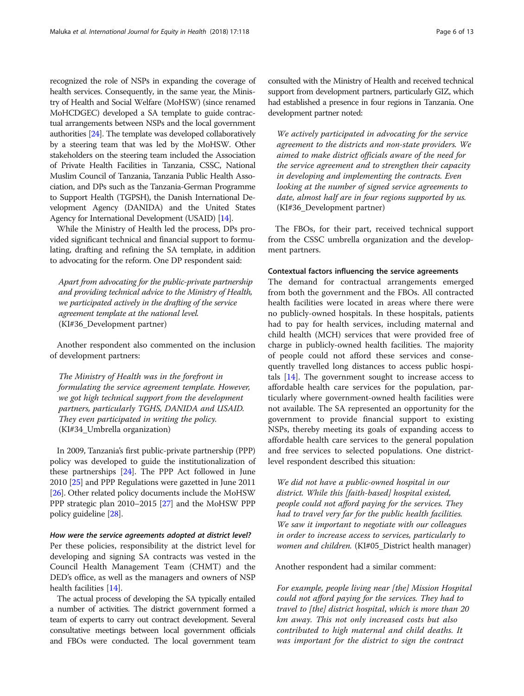recognized the role of NSPs in expanding the coverage of health services. Consequently, in the same year, the Ministry of Health and Social Welfare (MoHSW) (since renamed MoHCDGEC) developed a SA template to guide contractual arrangements between NSPs and the local government authorities [[24](#page-11-0)]. The template was developed collaboratively by a steering team that was led by the MoHSW. Other stakeholders on the steering team included the Association of Private Health Facilities in Tanzania, CSSC, National Muslim Council of Tanzania, Tanzania Public Health Association, and DPs such as the Tanzania-German Programme to Support Health (TGPSH), the Danish International Development Agency (DANIDA) and the United States Agency for International Development (USAID) [[14](#page-11-0)].

While the Ministry of Health led the process, DPs provided significant technical and financial support to formulating, drafting and refining the SA template, in addition to advocating for the reform. One DP respondent said:

Apart from advocating for the public-private partnership and providing technical advice to the Ministry of Health, we participated actively in the drafting of the service agreement template at the national level. (KI#36\_Development partner)

Another respondent also commented on the inclusion of development partners:

The Ministry of Health was in the forefront in formulating the service agreement template. However, we got high technical support from the development partners, particularly TGHS, DANIDA and USAID. They even participated in writing the policy. (KI#34\_Umbrella organization)

In 2009, Tanzania's first public-private partnership (PPP) policy was developed to guide the institutionalization of these partnerships [\[24\]](#page-11-0). The PPP Act followed in June 2010 [[25](#page-11-0)] and PPP Regulations were gazetted in June 2011 [[26](#page-11-0)]. Other related policy documents include the MoHSW PPP strategic plan 2010–2015 [\[27](#page-11-0)] and the MoHSW PPP policy guideline [\[28\]](#page-11-0).

#### How were the service agreements adopted at district level?

Per these policies, responsibility at the district level for developing and signing SA contracts was vested in the Council Health Management Team (CHMT) and the DED's office, as well as the managers and owners of NSP health facilities [\[14\]](#page-11-0).

The actual process of developing the SA typically entailed a number of activities. The district government formed a team of experts to carry out contract development. Several consultative meetings between local government officials and FBOs were conducted. The local government team consulted with the Ministry of Health and received technical support from development partners, particularly GIZ, which had established a presence in four regions in Tanzania. One development partner noted:

We actively participated in advocating for the service agreement to the districts and non-state providers. We aimed to make district officials aware of the need for the service agreement and to strengthen their capacity in developing and implementing the contracts. Even looking at the number of signed service agreements to date, almost half are in four regions supported by us. (KI#36\_Development partner)

The FBOs, for their part, received technical support from the CSSC umbrella organization and the development partners.

#### Contextual factors influencing the service agreements

The demand for contractual arrangements emerged from both the government and the FBOs. All contracted health facilities were located in areas where there were no publicly-owned hospitals. In these hospitals, patients had to pay for health services, including maternal and child health (MCH) services that were provided free of charge in publicly-owned health facilities. The majority of people could not afford these services and consequently travelled long distances to access public hospitals [\[14\]](#page-11-0). The government sought to increase access to affordable health care services for the population, particularly where government-owned health facilities were not available. The SA represented an opportunity for the government to provide financial support to existing NSPs, thereby meeting its goals of expanding access to affordable health care services to the general population and free services to selected populations. One districtlevel respondent described this situation:

We did not have a public-owned hospital in our district. While this [faith-based] hospital existed, people could not afford paying for the services. They had to travel very far for the public health facilities. We saw it important to negotiate with our colleagues in order to increase access to services, particularly to women and children. (KI#05\_District health manager)

#### Another respondent had a similar comment:

For example, people living near [the] Mission Hospital could not afford paying for the services. They had to travel to [the] district hospital, which is more than 20 km away. This not only increased costs but also contributed to high maternal and child deaths. It was important for the district to sign the contract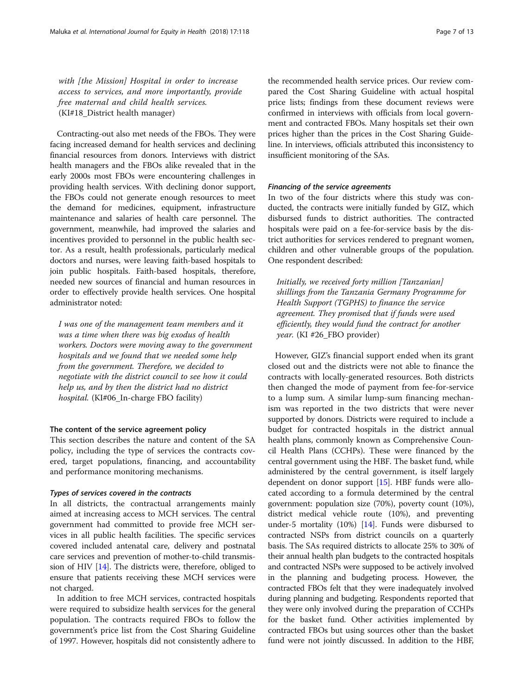with [the Mission] Hospital in order to increase access to services, and more importantly, provide free maternal and child health services. (KI#18\_District health manager)

Contracting-out also met needs of the FBOs. They were facing increased demand for health services and declining financial resources from donors. Interviews with district health managers and the FBOs alike revealed that in the early 2000s most FBOs were encountering challenges in providing health services. With declining donor support, the FBOs could not generate enough resources to meet the demand for medicines, equipment, infrastructure maintenance and salaries of health care personnel. The government, meanwhile, had improved the salaries and incentives provided to personnel in the public health sector. As a result, health professionals, particularly medical doctors and nurses, were leaving faith-based hospitals to join public hospitals. Faith-based hospitals, therefore, needed new sources of financial and human resources in order to effectively provide health services. One hospital administrator noted:

I was one of the management team members and it was a time when there was big exodus of health workers. Doctors were moving away to the government hospitals and we found that we needed some help from the government. Therefore, we decided to negotiate with the district council to see how it could help us, and by then the district had no district hospital. (KI#06\_In-charge FBO facility)

# The content of the service agreement policy

This section describes the nature and content of the SA policy, including the type of services the contracts covered, target populations, financing, and accountability and performance monitoring mechanisms.

#### Types of services covered in the contracts

In all districts, the contractual arrangements mainly aimed at increasing access to MCH services. The central government had committed to provide free MCH services in all public health facilities. The specific services covered included antenatal care, delivery and postnatal care services and prevention of mother-to-child transmission of HIV  $[14]$  $[14]$  $[14]$ . The districts were, therefore, obliged to ensure that patients receiving these MCH services were not charged.

In addition to free MCH services, contracted hospitals were required to subsidize health services for the general population. The contracts required FBOs to follow the government's price list from the Cost Sharing Guideline of 1997. However, hospitals did not consistently adhere to

the recommended health service prices. Our review compared the Cost Sharing Guideline with actual hospital price lists; findings from these document reviews were confirmed in interviews with officials from local government and contracted FBOs. Many hospitals set their own prices higher than the prices in the Cost Sharing Guideline. In interviews, officials attributed this inconsistency to

#### Financing of the service agreements

insufficient monitoring of the SAs.

In two of the four districts where this study was conducted, the contracts were initially funded by GIZ, which disbursed funds to district authorities. The contracted hospitals were paid on a fee-for-service basis by the district authorities for services rendered to pregnant women, children and other vulnerable groups of the population. One respondent described:

Initially, we received forty million [Tanzanian] shillings from the Tanzania Germany Programme for Health Support (TGPHS) to finance the service agreement. They promised that if funds were used efficiently, they would fund the contract for another year. (KI #26\_FBO provider)

However, GIZ's financial support ended when its grant closed out and the districts were not able to finance the contracts with locally-generated resources. Both districts then changed the mode of payment from fee-for-service to a lump sum. A similar lump-sum financing mechanism was reported in the two districts that were never supported by donors. Districts were required to include a budget for contracted hospitals in the district annual health plans, commonly known as Comprehensive Council Health Plans (CCHPs). These were financed by the central government using the HBF. The basket fund, while administered by the central government, is itself largely dependent on donor support [\[15\]](#page-11-0). HBF funds were allocated according to a formula determined by the central government: population size (70%), poverty count (10%), district medical vehicle route (10%), and preventing under-5 mortality  $(10\%)$  [[14](#page-11-0)]. Funds were disbursed to contracted NSPs from district councils on a quarterly basis. The SAs required districts to allocate 25% to 30% of their annual health plan budgets to the contracted hospitals and contracted NSPs were supposed to be actively involved in the planning and budgeting process. However, the contracted FBOs felt that they were inadequately involved during planning and budgeting. Respondents reported that they were only involved during the preparation of CCHPs for the basket fund. Other activities implemented by contracted FBOs but using sources other than the basket fund were not jointly discussed. In addition to the HBF,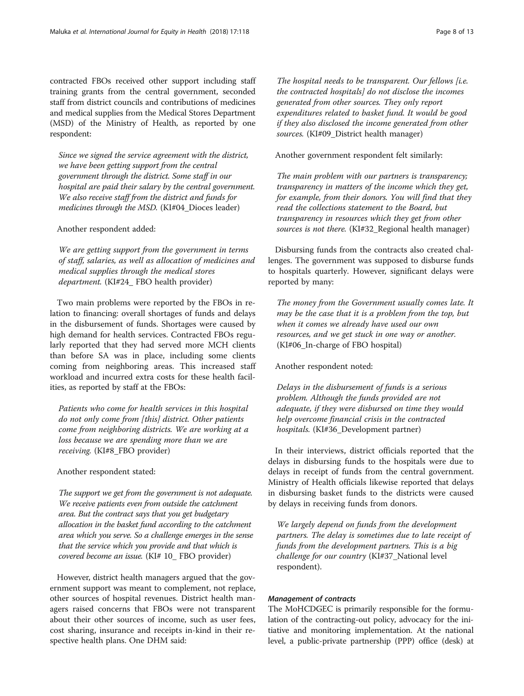contracted FBOs received other support including staff training grants from the central government, seconded staff from district councils and contributions of medicines and medical supplies from the Medical Stores Department (MSD) of the Ministry of Health, as reported by one respondent:

Since we signed the service agreement with the district, we have been getting support from the central government through the district. Some staff in our hospital are paid their salary by the central government. We also receive staff from the district and funds for medicines through the MSD. (KI#04\_Dioces leader)

# Another respondent added:

We are getting support from the government in terms of staff, salaries, as well as allocation of medicines and medical supplies through the medical stores department. (KI#24\_ FBO health provider)

Two main problems were reported by the FBOs in relation to financing: overall shortages of funds and delays in the disbursement of funds. Shortages were caused by high demand for health services. Contracted FBOs regularly reported that they had served more MCH clients than before SA was in place, including some clients coming from neighboring areas. This increased staff workload and incurred extra costs for these health facilities, as reported by staff at the FBOs:

Patients who come for health services in this hospital do not only come from [this] district. Other patients come from neighboring districts. We are working at a loss because we are spending more than we are receiving. (KI#8\_FBO provider)

## Another respondent stated:

The support we get from the government is not adequate. We receive patients even from outside the catchment area. But the contract says that you get budgetary allocation in the basket fund according to the catchment area which you serve. So a challenge emerges in the sense that the service which you provide and that which is covered become an issue. (KI# 10\_ FBO provider)

However, district health managers argued that the government support was meant to complement, not replace, other sources of hospital revenues. District health managers raised concerns that FBOs were not transparent about their other sources of income, such as user fees, cost sharing, insurance and receipts in-kind in their respective health plans. One DHM said:

The hospital needs to be transparent. Our fellows [i.e.] the contracted hospitals] do not disclose the incomes generated from other sources. They only report expenditures related to basket fund. It would be good if they also disclosed the income generated from other sources. (KI#09\_District health manager)

Another government respondent felt similarly:

The main problem with our partners is transparency; transparency in matters of the income which they get, for example, from their donors. You will find that they read the collections statement to the Board, but transparency in resources which they get from other sources is not there. (KI#32\_Regional health manager)

Disbursing funds from the contracts also created challenges. The government was supposed to disburse funds to hospitals quarterly. However, significant delays were reported by many:

The money from the Government usually comes late. It may be the case that it is a problem from the top, but when it comes we already have used our own resources, and we get stuck in one way or another. (KI#06\_In-charge of FBO hospital)

Another respondent noted:

Delays in the disbursement of funds is a serious problem. Although the funds provided are not adequate, if they were disbursed on time they would help overcome financial crisis in the contracted hospitals. (KI#36\_Development partner)

In their interviews, district officials reported that the delays in disbursing funds to the hospitals were due to delays in receipt of funds from the central government. Ministry of Health officials likewise reported that delays in disbursing basket funds to the districts were caused by delays in receiving funds from donors.

We largely depend on funds from the development partners. The delay is sometimes due to late receipt of funds from the development partners. This is a big challenge for our country (KI#37\_National level respondent).

# Management of contracts

The MoHCDGEC is primarily responsible for the formulation of the contracting-out policy, advocacy for the initiative and monitoring implementation. At the national level, a public-private partnership (PPP) office (desk) at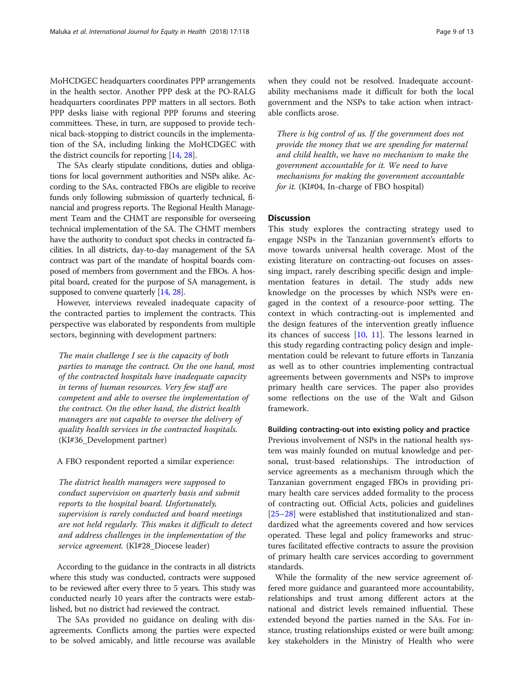MoHCDGEC headquarters coordinates PPP arrangements in the health sector. Another PPP desk at the PO-RALG headquarters coordinates PPP matters in all sectors. Both PPP desks liaise with regional PPP forums and steering committees. These, in turn, are supposed to provide technical back-stopping to district councils in the implementation of the SA, including linking the MoHCDGEC with the district councils for reporting [[14](#page-11-0), [28\]](#page-11-0).

The SAs clearly stipulate conditions, duties and obligations for local government authorities and NSPs alike. According to the SAs, contracted FBOs are eligible to receive funds only following submission of quarterly technical, financial and progress reports. The Regional Health Management Team and the CHMT are responsible for overseeing technical implementation of the SA. The CHMT members have the authority to conduct spot checks in contracted facilities. In all districts, day-to-day management of the SA contract was part of the mandate of hospital boards composed of members from government and the FBOs. A hospital board, created for the purpose of SA management, is supposed to convene quarterly [\[14,](#page-11-0) [28\]](#page-11-0).

However, interviews revealed inadequate capacity of the contracted parties to implement the contracts. This perspective was elaborated by respondents from multiple sectors, beginning with development partners:

The main challenge I see is the capacity of both parties to manage the contract. On the one hand, most of the contracted hospitals have inadequate capacity in terms of human resources. Very few staff are competent and able to oversee the implementation of the contract. On the other hand, the district health managers are not capable to oversee the delivery of quality health services in the contracted hospitals. (KI#36\_Development partner)

A FBO respondent reported a similar experience:

The district health managers were supposed to conduct supervision on quarterly basis and submit reports to the hospital board. Unfortunately, supervision is rarely conducted and board meetings are not held regularly. This makes it difficult to detect and address challenges in the implementation of the service agreement. (KI#28\_Diocese leader)

According to the guidance in the contracts in all districts where this study was conducted, contracts were supposed to be reviewed after every three to 5 years. This study was conducted nearly 10 years after the contracts were established, but no district had reviewed the contract.

The SAs provided no guidance on dealing with disagreements. Conflicts among the parties were expected to be solved amicably, and little recourse was available when they could not be resolved. Inadequate accountability mechanisms made it difficult for both the local government and the NSPs to take action when intractable conflicts arose.

There is big control of us. If the government does not provide the money that we are spending for maternal and child health, we have no mechanism to make the government accountable for it. We need to have mechanisms for making the government accountable for it. (KI#04, In-charge of FBO hospital)

# **Discussion**

This study explores the contracting strategy used to engage NSPs in the Tanzanian government's efforts to move towards universal health coverage. Most of the existing literature on contracting-out focuses on assessing impact, rarely describing specific design and implementation features in detail. The study adds new knowledge on the processes by which NSPs were engaged in the context of a resource-poor setting. The context in which contracting-out is implemented and the design features of the intervention greatly influence its chances of success [[10,](#page-11-0) [11](#page-11-0)]. The lessons learned in this study regarding contracting policy design and implementation could be relevant to future efforts in Tanzania as well as to other countries implementing contractual agreements between governments and NSPs to improve primary health care services. The paper also provides some reflections on the use of the Walt and Gilson framework.

Building contracting-out into existing policy and practice

Previous involvement of NSPs in the national health system was mainly founded on mutual knowledge and personal, trust-based relationships. The introduction of service agreements as a mechanism through which the Tanzanian government engaged FBOs in providing primary health care services added formality to the process of contracting out. Official Acts, policies and guidelines [[25](#page-11-0)–[28](#page-11-0)] were established that institutionalized and standardized what the agreements covered and how services operated. These legal and policy frameworks and structures facilitated effective contracts to assure the provision of primary health care services according to government standards.

While the formality of the new service agreement offered more guidance and guaranteed more accountability, relationships and trust among different actors at the national and district levels remained influential. These extended beyond the parties named in the SAs. For instance, trusting relationships existed or were built among: key stakeholders in the Ministry of Health who were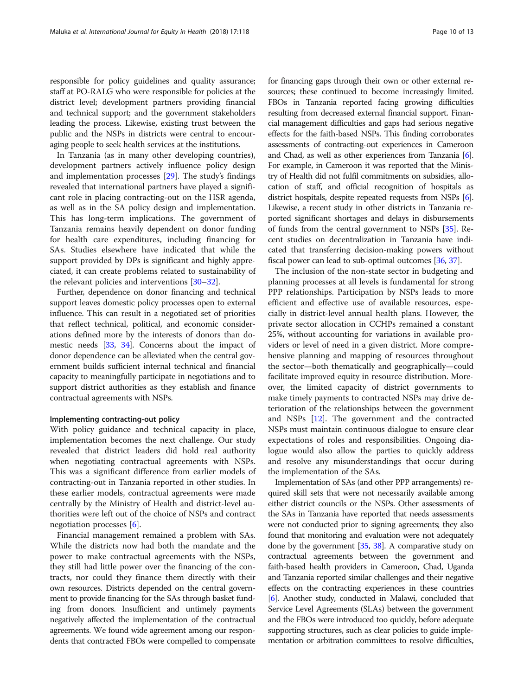responsible for policy guidelines and quality assurance; staff at PO-RALG who were responsible for policies at the district level; development partners providing financial and technical support; and the government stakeholders leading the process. Likewise, existing trust between the public and the NSPs in districts were central to encouraging people to seek health services at the institutions.

In Tanzania (as in many other developing countries), development partners actively influence policy design and implementation processes [[29\]](#page-11-0). The study's findings revealed that international partners have played a significant role in placing contracting-out on the HSR agenda, as well as in the SA policy design and implementation. This has long-term implications. The government of Tanzania remains heavily dependent on donor funding for health care expenditures, including financing for SAs. Studies elsewhere have indicated that while the support provided by DPs is significant and highly appreciated, it can create problems related to sustainability of the relevant policies and interventions [[30](#page-11-0)–[32](#page-11-0)].

Further, dependence on donor financing and technical support leaves domestic policy processes open to external influence. This can result in a negotiated set of priorities that reflect technical, political, and economic considerations defined more by the interests of donors than domestic needs [\[33,](#page-12-0) [34](#page-12-0)]. Concerns about the impact of donor dependence can be alleviated when the central government builds sufficient internal technical and financial capacity to meaningfully participate in negotiations and to support district authorities as they establish and finance contractual agreements with NSPs.

#### Implementing contracting-out policy

With policy guidance and technical capacity in place, implementation becomes the next challenge. Our study revealed that district leaders did hold real authority when negotiating contractual agreements with NSPs. This was a significant difference from earlier models of contracting-out in Tanzania reported in other studies. In these earlier models, contractual agreements were made centrally by the Ministry of Health and district-level authorities were left out of the choice of NSPs and contract negotiation processes [\[6](#page-11-0)].

Financial management remained a problem with SAs. While the districts now had both the mandate and the power to make contractual agreements with the NSPs, they still had little power over the financing of the contracts, nor could they finance them directly with their own resources. Districts depended on the central government to provide financing for the SAs through basket funding from donors. Insufficient and untimely payments negatively affected the implementation of the contractual agreements. We found wide agreement among our respondents that contracted FBOs were compelled to compensate for financing gaps through their own or other external resources; these continued to become increasingly limited. FBOs in Tanzania reported facing growing difficulties resulting from decreased external financial support. Financial management difficulties and gaps had serious negative effects for the faith-based NSPs. This finding corroborates assessments of contracting-out experiences in Cameroon and Chad, as well as other experiences from Tanzania [[6](#page-11-0)]. For example, in Cameroon it was reported that the Ministry of Health did not fulfil commitments on subsidies, allocation of staff, and official recognition of hospitals as district hospitals, despite repeated requests from NSPs [[6](#page-11-0)]. Likewise, a recent study in other districts in Tanzania reported significant shortages and delays in disbursements of funds from the central government to NSPs [\[35\]](#page-12-0). Recent studies on decentralization in Tanzania have indicated that transferring decision-making powers without fiscal power can lead to sub-optimal outcomes [\[36,](#page-12-0) [37](#page-12-0)].

The inclusion of the non-state sector in budgeting and planning processes at all levels is fundamental for strong PPP relationships. Participation by NSPs leads to more efficient and effective use of available resources, especially in district-level annual health plans. However, the private sector allocation in CCHPs remained a constant 25%, without accounting for variations in available providers or level of need in a given district. More comprehensive planning and mapping of resources throughout the sector—both thematically and geographically—could facilitate improved equity in resource distribution. Moreover, the limited capacity of district governments to make timely payments to contracted NSPs may drive deterioration of the relationships between the government and NSPs [[12\]](#page-11-0). The government and the contracted NSPs must maintain continuous dialogue to ensure clear expectations of roles and responsibilities. Ongoing dialogue would also allow the parties to quickly address and resolve any misunderstandings that occur during the implementation of the SAs.

Implementation of SAs (and other PPP arrangements) required skill sets that were not necessarily available among either district councils or the NSPs. Other assessments of the SAs in Tanzania have reported that needs assessments were not conducted prior to signing agreements; they also found that monitoring and evaluation were not adequately done by the government [[35,](#page-12-0) [38\]](#page-12-0). A comparative study on contractual agreements between the government and faith-based health providers in Cameroon, Chad, Uganda and Tanzania reported similar challenges and their negative effects on the contracting experiences in these countries [[6](#page-11-0)]. Another study, conducted in Malawi, concluded that Service Level Agreements (SLAs) between the government and the FBOs were introduced too quickly, before adequate supporting structures, such as clear policies to guide implementation or arbitration committees to resolve difficulties,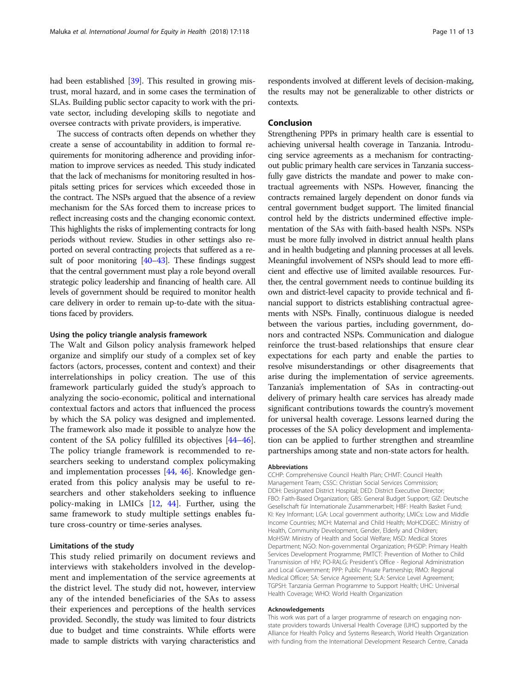had been established [[39](#page-12-0)]. This resulted in growing mistrust, moral hazard, and in some cases the termination of SLAs. Building public sector capacity to work with the private sector, including developing skills to negotiate and oversee contracts with private providers, is imperative.

The success of contracts often depends on whether they create a sense of accountability in addition to formal requirements for monitoring adherence and providing information to improve services as needed. This study indicated that the lack of mechanisms for monitoring resulted in hospitals setting prices for services which exceeded those in the contract. The NSPs argued that the absence of a review mechanism for the SAs forced them to increase prices to reflect increasing costs and the changing economic context. This highlights the risks of implementing contracts for long periods without review. Studies in other settings also reported on several contracting projects that suffered as a result of poor monitoring  $[40-43]$  $[40-43]$  $[40-43]$ . These findings suggest that the central government must play a role beyond overall strategic policy leadership and financing of health care. All levels of government should be required to monitor health care delivery in order to remain up-to-date with the situations faced by providers.

### Using the policy triangle analysis framework

The Walt and Gilson policy analysis framework helped organize and simplify our study of a complex set of key factors (actors, processes, content and context) and their interrelationships in policy creation. The use of this framework particularly guided the study's approach to analyzing the socio-economic, political and international contextual factors and actors that influenced the process by which the SA policy was designed and implemented. The framework also made it possible to analyze how the content of the SA policy fulfilled its objectives [[44](#page-12-0)–[46](#page-12-0)]. The policy triangle framework is recommended to researchers seeking to understand complex policymaking and implementation processes [\[44,](#page-12-0) [46\]](#page-12-0). Knowledge generated from this policy analysis may be useful to researchers and other stakeholders seeking to influence policy-making in LMICs [\[12](#page-11-0), [44](#page-12-0)]. Further, using the same framework to study multiple settings enables future cross-country or time-series analyses.

# Limitations of the study

This study relied primarily on document reviews and interviews with stakeholders involved in the development and implementation of the service agreements at the district level. The study did not, however, interview any of the intended beneficiaries of the SAs to assess their experiences and perceptions of the health services provided. Secondly, the study was limited to four districts due to budget and time constraints. While efforts were made to sample districts with varying characteristics and respondents involved at different levels of decision-making, the results may not be generalizable to other districts or contexts.

# Conclusion

Strengthening PPPs in primary health care is essential to achieving universal health coverage in Tanzania. Introducing service agreements as a mechanism for contractingout public primary health care services in Tanzania successfully gave districts the mandate and power to make contractual agreements with NSPs. However, financing the contracts remained largely dependent on donor funds via central government budget support. The limited financial control held by the districts undermined effective implementation of the SAs with faith-based health NSPs. NSPs must be more fully involved in district annual health plans and in health budgeting and planning processes at all levels. Meaningful involvement of NSPs should lead to more efficient and effective use of limited available resources. Further, the central government needs to continue building its own and district-level capacity to provide technical and financial support to districts establishing contractual agreements with NSPs. Finally, continuous dialogue is needed between the various parties, including government, donors and contracted NSPs. Communication and dialogue reinforce the trust-based relationships that ensure clear expectations for each party and enable the parties to resolve misunderstandings or other disagreements that arise during the implementation of service agreements. Tanzania's implementation of SAs in contracting-out delivery of primary health care services has already made significant contributions towards the country's movement for universal health coverage. Lessons learned during the processes of the SA policy development and implementation can be applied to further strengthen and streamline partnerships among state and non-state actors for health.

#### Abbreviations

CCHP: Comprehensive Council Health Plan; CHMT: Council Health Management Team; CSSC: Christian Social Services Commission; DDH: Designated District Hospital; DED: District Executive Director; FBO: Faith-Based Organization; GBS: General Budget Support; GIZ: Deutsche Gesellschaft für Internationale Zusammenarbeit; HBF: Health Basket Fund; KI: Key Informant; LGA: Local government authority; LMICs: Low and Middle Income Countries; MCH: Maternal and Child Health; MoHCDGEC: Ministry of Health, Community Development, Gender, Elderly and Children; MoHSW: Ministry of Health and Social Welfare; MSD: Medical Stores Department; NGO: Non-governmental Organization; PHSDP: Primary Health Services Development Programme; PMTCT: Prevention of Mother to Child Transmission of HIV; PO-RALG: President's Office - Regional Administration and Local Government; PPP: Public Private Partnership; RMO: Regional Medical Officer; SA: Service Agreement; SLA: Service Level Agreement; TGPSH: Tanzania German Programme to Support Health; UHC: Universal Health Coverage; WHO: World Health Organization

#### Acknowledgements

This work was part of a larger programme of research on engaging nonstate providers towards Universal Health Coverage (UHC) supported by the Alliance for Health Policy and Systems Research, World Health Organization with funding from the International Development Research Centre, Canada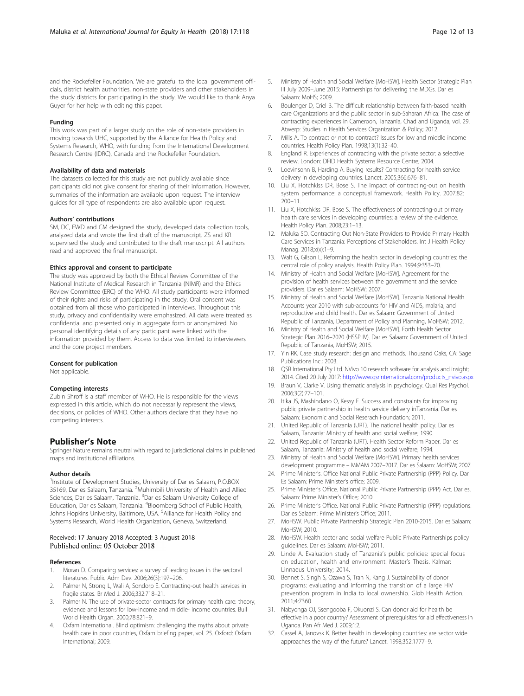<span id="page-11-0"></span>and the Rockefeller Foundation. We are grateful to the local government officials, district health authorities, non-state providers and other stakeholders in the study districts for participating in the study. We would like to thank Anya Guyer for her help with editing this paper.

#### Funding

This work was part of a larger study on the role of non-state providers in moving towards UHC, supported by the Alliance for Health Policy and Systems Research, WHO, with funding from the International Development Research Centre (IDRC), Canada and the Rockefeller Foundation.

#### Availability of data and materials

The datasets collected for this study are not publicly available since participants did not give consent for sharing of their information. However, summaries of the information are available upon request. The interview guides for all type of respondents are also available upon request.

#### Authors' contributions

SM, DC, EWD and CM designed the study, developed data collection tools, analyzed data and wrote the first draft of the manuscript. ZS and KR supervised the study and contributed to the draft manuscript. All authors read and approved the final manuscript.

# Ethics approval and consent to participate

The study was approved by both the Ethical Review Committee of the National Institute of Medical Research in Tanzania (NIMR) and the Ethics Review Committee (ERC) of the WHO. All study participants were informed of their rights and risks of participating in the study. Oral consent was obtained from all those who participated in interviews. Throughout this study, privacy and confidentiality were emphasized. All data were treated as confidential and presented only in aggregate form or anonymized. No personal identifying details of any participant were linked with the information provided by them. Access to data was limited to interviewers and the core project members.

#### Consent for publication

Not applicable.

#### Competing interests

Zubin Shroff is a staff member of WHO. He is responsible for the views expressed in this article, which do not necessarily represent the views, decisions, or policies of WHO. Other authors declare that they have no competing interests.

# Publisher's Note

Springer Nature remains neutral with regard to jurisdictional claims in published maps and institutional affiliations.

#### Author details

<sup>1</sup>Institute of Development Studies, University of Dar es Salaam, P.O.BOX 35169, Dar es Salaam, Tanzania. <sup>2</sup>Muhimbili University of Health and Allied Sciences, Dar es Salaam, Tanzania. <sup>3</sup>Dar es Salaam University College of Education, Dar es Salaam, Tanzania. <sup>4</sup>Bloomberg School of Public Health, Johns Hopkins University, Baltimore, USA. <sup>5</sup>Alliance for Health Policy and Systems Research, World Health Organization, Geneva, Switzerland.

#### Received: 17 January 2018 Accepted: 3 August 2018 Published online: 05 October 2018

## References

- 1. Moran D. Comparing services: a survey of leading issues in the sectoral literatures. Public Adm Dev. 2006;26(3):197–206.
- 2. Palmer N, Strong L, Wali A, Sondorp E. Contracting-out health services in fragile states. Br Med J. 2006;332:718–21.
- 3. Palmer N. The use of private-sector contracts for primary health care: theory, evidence and lessons for low-income and middle- income countries. Bull World Health Organ. 2000;78:821–9.
- Oxfam International. Blind optimism: challenging the myths about private health care in poor countries, Oxfam briefing paper, vol. 25. Oxford: Oxfam International; 2009.
- 5. Ministry of Health and Social Welfare [MoHSW]. Health Sector Strategic Plan III July 2009–June 2015: Partnerships for delivering the MDGs. Dar es Salaam: MoHS; 2009.
- 6. Boulenger D, Criel B. The difficult relationship between faith-based health care Organizations and the public sector in sub-Saharan Africa: The case of contracting experiences in Cameroon, Tanzania, Chad and Uganda, vol. 29. Atwerp: Studies in Health Services Organization & Policy; 2012.
- 7. Mills A. To contract or not to contract? Issues for low and middle income countries. Health Policy Plan. 1998;13(1):32–40.
- 8. England R. Experiences of contracting with the private sector: a selective review. London: DFID Health Systems Resource Centre; 2004.
- 9. Loevinsohn B, Harding A. Buying results? Contracting for health service delivery in developing countries. Lancet. 2005;366:676–81.
- 10. Liu X, Hotchkiss DR, Bose S. The impact of contracting-out on health system performance: a conceptual framework. Health Policy. 2007;82: 200–11.
- 11. Liu X, Hotchkiss DR, Bose S. The effectiveness of contracting-out primary health care services in developing countries: a review of the evidence. Health Policy Plan. 2008;23:1–13.
- 12. Maluka SO. Contracting Out Non-State Providers to Provide Primary Health Care Services in Tanzania: Perceptions of Stakeholders. Int J Health Policy Manag. 2018;x(x):1–9.
- 13. Walt G, Gilson L. Reforming the health sector in developing countries: the central role of policy analysis. Health Policy Plan. 1994;9:353–70.
- 14. Ministry of Health and Social Welfare [MoHSW]. Agreement for the provision of health services between the government and the service providers. Dar es Salaam: MoHSW; 2007.
- 15. Ministry of Health and Social Welfare [MoHSW]. Tanzania National Health Accounts year 2010 with sub-accounts for HIV and AIDS, malaria, and reproductive and child health. Dar es Salaam: Government of United Republic of Tanzania, Department of Policy and Planning, MoHSW; 2012.
- 16. Ministry of Health and Social Welfare [MoHSW]. Forth Health Sector Strategic Plan 2016–2020 (HSSP IV). Dar es Salaam: Government of United Republic of Tanzania, MoHSW; 2015.
- 17. Yin RK. Case study research: design and methods. Thousand Oaks, CA: Sage Publications Inc.; 2003.
- 18. QSR International Pty Ltd. NVivo 10 research software for analysis and insight; 2014. Cited 20 July 2017: [http://www.qsrinternational.com/products\\_nvivo.aspx](http://www.qsrinternational.com/products_nvivo.aspx)
- 19. Braun V, Clarke V. Using thematic analysis in psychology. Qual Res Psychol. 2006;3(2):77–101.
- 20. Itika JS, Mashindano O, Kessy F. Success and constraints for improving public private partnership in health service delivery inTanzania. Dar es Salaam: Exonomic and Social Reserach Foundation; 2011.
- 21. United Republic of Tanzania (URT). The national health policy. Dar es Salaam, Tanzania: Ministry of health and social welfare; 1990.
- 22. United Republic of Tanzania (URT). Health Sector Reform Paper. Dar es Salaam, Tanzania: Ministry of health and social welfare; 1994.
- 23. Ministry of Health and Social Welfare [MoHSW]. Primary health services development programme – MMAM 2007–2017. Dar es Salaam: MoHSW; 2007.
- 24. Prime Minister's. Office National Public Private Partnership (PPP) Policy. Dar Es Salaam: Prime Minister's office; 2009.
- 25. Prime Minister's Office. National Public Private Partnership (PPP) Act. Dar es. Salaam: Prime Minister's Office; 2010.
- Prime Minister's Office. National Public Private Partnership (PPP) regulations. Dar es Salaam: Prime Minister's Office; 2011.
- 27. MoHSW. Public Private Partnership Strategic Plan 2010-2015. Dar es Salaam: MoHSW; 2010.
- 28. MoHSW. Health sector and social welfare Public Private Partnerships policy guidelines. Dar es Salaam: MoHSW; 2011.
- 29. Linde A. Evaluation study of Tanzania's public policies: special focus on education, health and environment. Master's Thesis. Kalmar: Linnaeus University; 2014.
- 30. Bennet S, Singh S, Ozawa S, Tran N, Kang J. Sustainability of donor programs: evaluating and informing the transition of a large HIV prevention program in India to local ownership. Glob Health Action. 2011;4:7360.
- 31. Nabyonga OJ, Ssengooba F, Okuonzi S. Can donor aid for health be effective in a poor country? Assessment of prerequisites for aid effectiveness in Uganda. Pan Afr Med J. 2009;1:2.
- 32. Cassel A, Janovsk K. Better health in developing countries: are sector wide approaches the way of the future? Lancet. 1998;352:1777–9.